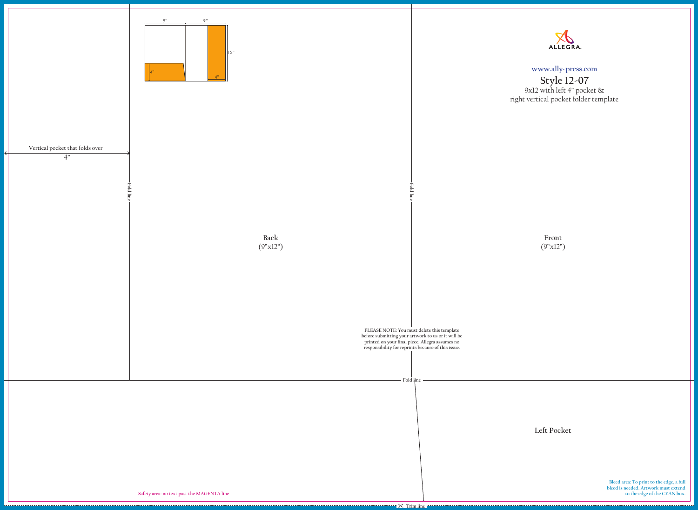**Front** (9"x12")

**PLEASE NOTE: You must delete this template before submitting your artwork to us or it will be printed on your final piece. Allegra assumes no responsibility for reprints because of this issue.**





## **www.ally-press.com**

**Bleed area: To print to the edge, a full bleed is needed. Artwork must extend to the edge of the CYAN box. Fold line T**  $\mathbb{X}$  Trim line **Left Pocket**

**Style 12-07** 9x12 with left 4" pocket & right vertical pocket folder template